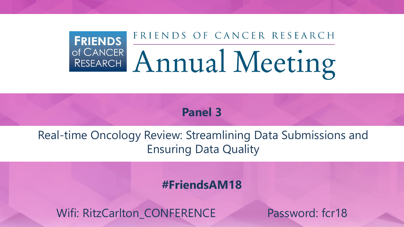## FRIENDS OF CANCER RESEARCH **FRIENDS** OF CANCER Annual Meeting

**Panel 3**

Real-time Oncology Review: Streamlining Data Submissions and Ensuring Data Quality

**#FriendsAM18**

Wifi: RitzCarlton\_CONFERENCE Password: fcr18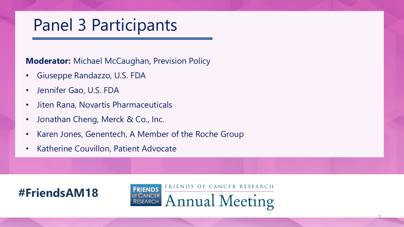# Panel 3 Participants

**Moderator:** Michael McCaughan, Prevision Policy

- Giuseppe Randazzo, U.S. FDA
- Jennifer Gao, U.S. FDA
- Jiten Rana, Novartis Pharmaceuticals
- Jonathan Cheng, Merck & Co., Inc.
- Karen Jones, Genentech, A Member of the Roche Group
- Katherine Couvillon, Patient Advocate



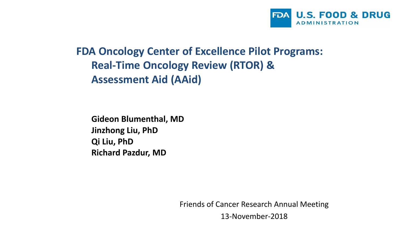

### **FDA Oncology Center of Excellence Pilot Programs: Real-Time Oncology Review (RTOR) & Assessment Aid (AAid)**

**Gideon Blumenthal, MD Jinzhong Liu, PhD Qi Liu, PhD Richard Pazdur, MD**

Friends of Cancer Research Annual Meeting

13-November-2018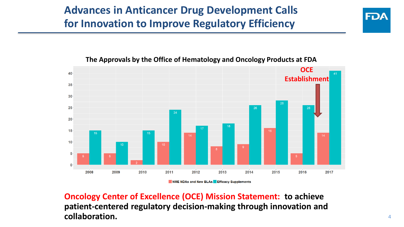



#### **The Approvals by the Office of Hematology and Oncology Products at FDA**

NME NDAs and New BLAs Efficacy Supplements

**Oncology Center of Excellence (OCE) Mission Statement: to achieve patient-centered regulatory decision-making through innovation and collaboration.**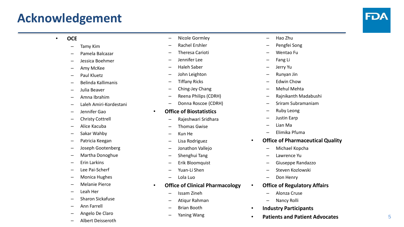### **Acknowledgement**



#### • **OCE**

- Tamy Kim
- Pamela Balcazar
- Jessica Boehmer
- Amy McKee
- Paul Kluetz
- Belinda Kallimanis
- Julia Beaver
- Amna Ibrahim
- Laleh Amiri-Kordestani
- Jennifer Gao
- Christy Cottrell
- Alice Kacuba
- Sakar Wahby
- Patricia Keegan
- Joseph Gootenberg
- Martha Donoghue
- Erin Larkins
- Lee Pai-Scherf
- Monica Hughes
- Melanie Pierce
- Leah Her
- Sharon Sickafuse
- Ann Farrell
- Angelo De Claro
- Albert Deisseroth
- Nicole Gormley
- Rachel Ershler
- Theresa Carioti
- Jennifer Lee
- Haleh Saber
- John Leighton
- Tiffany Ricks
- Ching-Jey Chang
- Reena Philips (CDRH)
- Donna Roscoe (CDRH)
- **Office of Biostatistics**
	- Rajeshwari Sridhara
	- Thomas Gwise
	- Kun He
	- Lisa Rodriguez
	- Jonathon Vallejo
	- Shenghui Tang
	- Erik Bloomquist
	- Yuan-Li Shen
	- Lola Luo
- **Office of Clinical Pharmacology**
	- Issam Zineh
	- Atiqur Rahman
	- Brian Booth
	- Yaning Wang
- Hao Zhu
- Pengfei Song
- Wentao Fu
- Fang Li
- Jerry Yu
- Runyan Jin
- Edwin Chow
- Mehul Mehta
- Rajnikanth Madabushi
- Sriram Subramaniam
- Ruby Leong
- Justin Earp
- Lian Ma
- Elimika Pfuma
- **Office of Pharmaceutical Quality**
	- Michael Kopcha
	- Lawrence Yu
	- Giuseppe Randazzo
	- Steven Kozlowski
	- Don Henry
	- **Office of Regulatory Affairs**
		- Alonza Cruse
		- Nancy Rolli
- **Industry Participants**
- **Patients and Patient Advocates**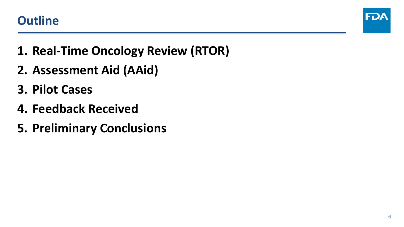



- **1. Real-Time Oncology Review (RTOR)**
- **2. Assessment Aid (AAid)**
- **3. Pilot Cases**
- **4. Feedback Received**
- **5. Preliminary Conclusions**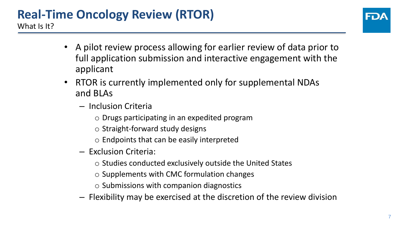### **Real-Time Oncology Review (RTOR)** What Is It?



- A pilot review process allowing for earlier review of data prior to full application submission and interactive engagement with the applicant
- RTOR is currently implemented only for supplemental NDAs and BLAs
	- Inclusion Criteria
		- o Drugs participating in an expedited program
		- o Straight-forward study designs
		- o Endpoints that can be easily interpreted
	- Exclusion Criteria:
		- o Studies conducted exclusively outside the United States
		- o Supplements with CMC formulation changes
		- o Submissions with companion diagnostics
	- Flexibility may be exercised at the discretion of the review division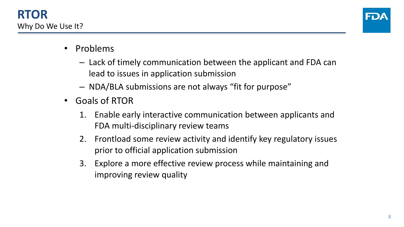

- Problems
	- Lack of timely communication between the applicant and FDA can lead to issues in application submission
	- NDA/BLA submissions are not always "fit for purpose"
- Goals of RTOR
	- 1. Enable early interactive communication between applicants and FDA multi-disciplinary review teams
	- 2. Frontload some review activity and identify key regulatory issues prior to official application submission
	- 3. Explore a more effective review process while maintaining and improving review quality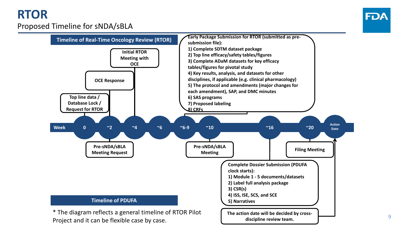## **RTOR**



#### Proposed Timeline for sNDA/sBLA

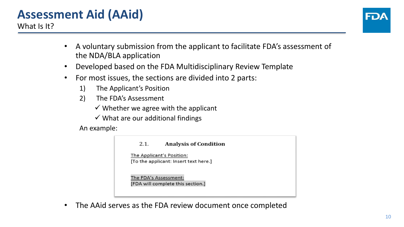## **Assessment Aid (AAid)**

What Is It?

- A voluntary submission from the applicant to facilitate FDA's assessment of the NDA/BLA application
- Developed based on the FDA Multidisciplinary Review Template
- For most issues, the sections are divided into 2 parts:
	- 1) The Applicant's Position
	- 2) The FDA's Assessment
		- $\checkmark$  Whether we agree with the applicant
		- $\checkmark$  What are our additional findings

An example:



The AAid serves as the FDA review document once completed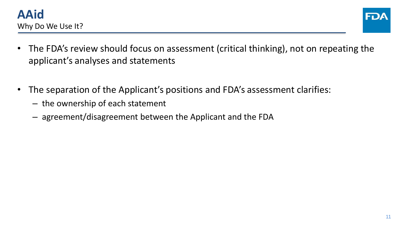



- The FDA's review should focus on assessment (critical thinking), not on repeating the applicant's analyses and statements
- The separation of the Applicant's positions and FDA's assessment clarifies:
	- the ownership of each statement
	- agreement/disagreement between the Applicant and the FDA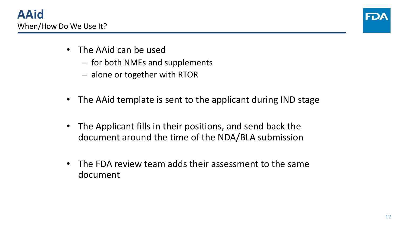

- The AAid can be used
	- for both NMEs and supplements
	- alone or together with RTOR
- The AAid template is sent to the applicant during IND stage
- The Applicant fills in their positions, and send back the document around the time of the NDA/BLA submission
- The FDA review team adds their assessment to the same document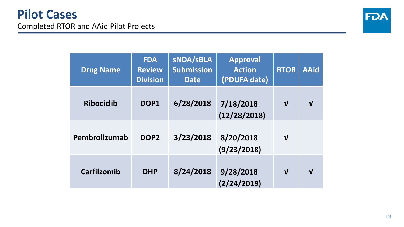

| <b>Drug Name</b>   | <b>FDA</b><br><b>Review</b><br><b>Division</b> | <b>SNDA/SBLA</b><br><b>Submission</b><br><b>Date</b> | <b>Approval</b><br><b>Action</b><br>(PDUFA date) | <b>RTOR</b>  | <b>AAid</b>  |
|--------------------|------------------------------------------------|------------------------------------------------------|--------------------------------------------------|--------------|--------------|
| <b>Ribociclib</b>  | DOP1                                           | 6/28/2018                                            | 7/18/2018<br>(12/28/2018)                        | $\mathbf{V}$ | $\mathbf{V}$ |
| Pembrolizumab      | DOP <sub>2</sub>                               | 3/23/2018                                            | 8/20/2018<br>(9/23/2018)                         | $\mathbf v$  |              |
| <b>Carfilzomib</b> | <b>DHP</b>                                     | 8/24/2018                                            | 9/28/2018<br>(2/24/2019)                         | $\mathbf{V}$ | $\mathbf{v}$ |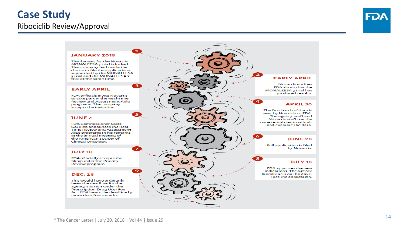### **Case Study**

#### Ribociclib Review/Approval



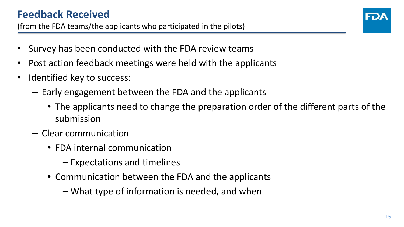

- Survey has been conducted with the FDA review teams
- Post action feedback meetings were held with the applicants
- Identified key to success:
	- Early engagement between the FDA and the applicants
		- The applicants need to change the preparation order of the different parts of the submission
	- Clear communication
		- FDA internal communication
			- Expectations and timelines
		- Communication between the FDA and the applicants
			- What type of information is needed, and when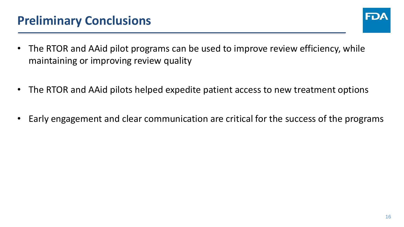

- The RTOR and AAid pilot programs can be used to improve review efficiency, while maintaining or improving review quality
- The RTOR and AAid pilots helped expedite patient access to new treatment options
- Early engagement and clear communication are critical for the success of the programs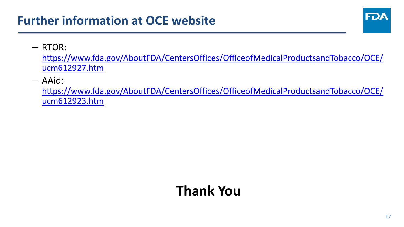## **Further information at OCE website**



#### – RTOR:

[https://www.fda.gov/AboutFDA/CentersOffices/OfficeofMedicalProductsandTobacco/OCE/](https://www.fda.gov/AboutFDA/CentersOffices/OfficeofMedicalProductsandTobacco/OCE/ucm612927.htm) ucm612927.htm

– AAid:

[https://www.fda.gov/AboutFDA/CentersOffices/OfficeofMedicalProductsandTobacco/OCE/](https://www.fda.gov/AboutFDA/CentersOffices/OfficeofMedicalProductsandTobacco/OCE/ucm612923.htm) ucm612923.htm

## **Thank You**